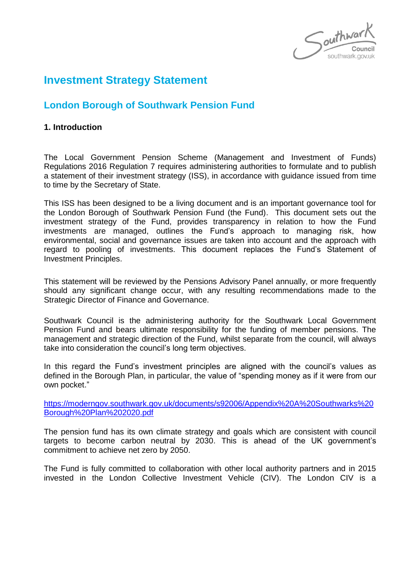$\int$ outhwar

# **Investment Strategy Statement**

# **London Borough of Southwark Pension Fund**

## **1. Introduction**

The Local Government Pension Scheme (Management and Investment of Funds) Regulations 2016 Regulation 7 requires administering authorities to formulate and to publish a statement of their investment strategy (ISS), in accordance with guidance issued from time to time by the Secretary of State.

This ISS has been designed to be a living document and is an important governance tool for the London Borough of Southwark Pension Fund (the Fund). This document sets out the investment strategy of the Fund, provides transparency in relation to how the Fund investments are managed, outlines the Fund's approach to managing risk, how environmental, social and governance issues are taken into account and the approach with regard to pooling of investments. This document replaces the Fund's Statement of Investment Principles.

This statement will be reviewed by the Pensions Advisory Panel annually, or more frequently should any significant change occur, with any resulting recommendations made to the Strategic Director of Finance and Governance.

Southwark Council is the administering authority for the Southwark Local Government Pension Fund and bears ultimate responsibility for the funding of member pensions. The management and strategic direction of the Fund, whilst separate from the council, will always take into consideration the council's long term objectives.

In this regard the Fund's investment principles are aligned with the council's values as defined in the Borough Plan, in particular, the value of "spending money as if it were from our own pocket."

[https://moderngov.southwark.gov.uk/documents/s92006/Appendix%20A%20Southwarks%20](https://moderngov.southwark.gov.uk/documents/s92006/Appendix%20A%20Southwarks%20Borough%20Plan%202020.pdf) [Borough%20Plan%202020.pdf](https://moderngov.southwark.gov.uk/documents/s92006/Appendix%20A%20Southwarks%20Borough%20Plan%202020.pdf)

The pension fund has its own climate strategy and goals which are consistent with council targets to become carbon neutral by 2030. This is ahead of the UK government's commitment to achieve net zero by 2050.

The Fund is fully committed to collaboration with other local authority partners and in 2015 invested in the London Collective Investment Vehicle (CIV). The London CIV is a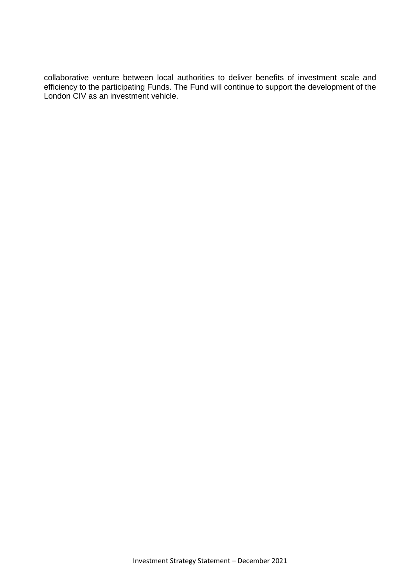collaborative venture between local authorities to deliver benefits of investment scale and efficiency to the participating Funds. The Fund will continue to support the development of the London CIV as an investment vehicle.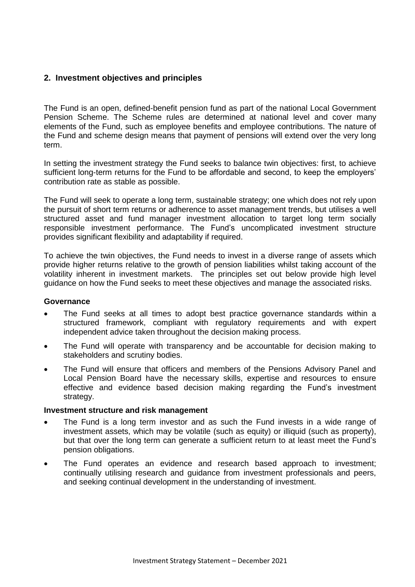# **2. Investment objectives and principles**

The Fund is an open, defined-benefit pension fund as part of the national Local Government Pension Scheme. The Scheme rules are determined at national level and cover many elements of the Fund, such as employee benefits and employee contributions. The nature of the Fund and scheme design means that payment of pensions will extend over the very long term.

In setting the investment strategy the Fund seeks to balance twin objectives: first, to achieve sufficient long-term returns for the Fund to be affordable and second, to keep the employers' contribution rate as stable as possible.

The Fund will seek to operate a long term, sustainable strategy; one which does not rely upon the pursuit of short term returns or adherence to asset management trends, but utilises a well structured asset and fund manager investment allocation to target long term socially responsible investment performance. The Fund's uncomplicated investment structure provides significant flexibility and adaptability if required.

To achieve the twin objectives, the Fund needs to invest in a diverse range of assets which provide higher returns relative to the growth of pension liabilities whilst taking account of the volatility inherent in investment markets. The principles set out below provide high level guidance on how the Fund seeks to meet these objectives and manage the associated risks.

### **Governance**

- The Fund seeks at all times to adopt best practice governance standards within a structured framework, compliant with regulatory requirements and with expert independent advice taken throughout the decision making process.
- The Fund will operate with transparency and be accountable for decision making to stakeholders and scrutiny bodies.
- The Fund will ensure that officers and members of the Pensions Advisory Panel and Local Pension Board have the necessary skills, expertise and resources to ensure effective and evidence based decision making regarding the Fund's investment strategy.

#### **Investment structure and risk management**

- The Fund is a long term investor and as such the Fund invests in a wide range of investment assets, which may be volatile (such as equity) or illiquid (such as property), but that over the long term can generate a sufficient return to at least meet the Fund's pension obligations.
- The Fund operates an evidence and research based approach to investment; continually utilising research and guidance from investment professionals and peers, and seeking continual development in the understanding of investment.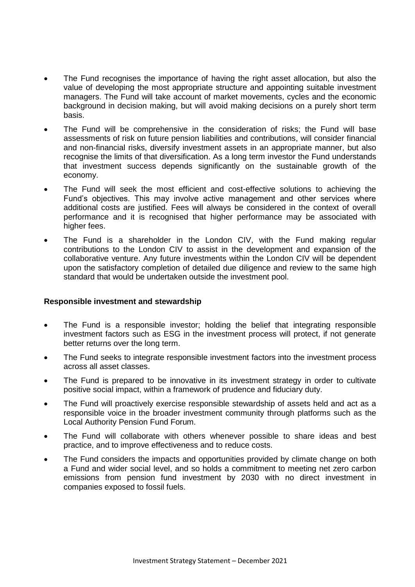- The Fund recognises the importance of having the right asset allocation, but also the value of developing the most appropriate structure and appointing suitable investment managers. The Fund will take account of market movements, cycles and the economic background in decision making, but will avoid making decisions on a purely short term basis.
- The Fund will be comprehensive in the consideration of risks; the Fund will base assessments of risk on future pension liabilities and contributions, will consider financial and non-financial risks, diversify investment assets in an appropriate manner, but also recognise the limits of that diversification. As a long term investor the Fund understands that investment success depends significantly on the sustainable growth of the economy.
- The Fund will seek the most efficient and cost-effective solutions to achieving the Fund's objectives. This may involve active management and other services where additional costs are justified. Fees will always be considered in the context of overall performance and it is recognised that higher performance may be associated with higher fees.
- The Fund is a shareholder in the London CIV, with the Fund making regular contributions to the London CIV to assist in the development and expansion of the collaborative venture. Any future investments within the London CIV will be dependent upon the satisfactory completion of detailed due diligence and review to the same high standard that would be undertaken outside the investment pool.

### **Responsible investment and stewardship**

- The Fund is a responsible investor; holding the belief that integrating responsible investment factors such as ESG in the investment process will protect, if not generate better returns over the long term.
- The Fund seeks to integrate responsible investment factors into the investment process across all asset classes.
- The Fund is prepared to be innovative in its investment strategy in order to cultivate positive social impact, within a framework of prudence and fiduciary duty.
- The Fund will proactively exercise responsible stewardship of assets held and act as a responsible voice in the broader investment community through platforms such as the Local Authority Pension Fund Forum.
- The Fund will collaborate with others whenever possible to share ideas and best practice, and to improve effectiveness and to reduce costs.
- The Fund considers the impacts and opportunities provided by climate change on both a Fund and wider social level, and so holds a commitment to meeting net zero carbon emissions from pension fund investment by 2030 with no direct investment in companies exposed to fossil fuels.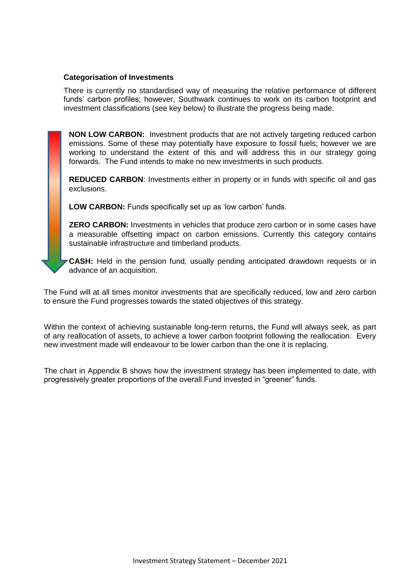### **Categorisation of Investments**

There is currently no standardised way of measuring the relative performance of different funds' carbon profiles; however, Southwark continues to work on its carbon footprint and investment classifications (see key below) to illustrate the progress being made.

**NON LOW CARBON:** Investment products that are not actively targeting reduced carbon emissions. Some of these may potentially have exposure to fossil fuels; however we are working to understand the extent of this and will address this in our strategy going forwards. The Fund intends to make no new investments in such products.

**REDUCED CARBON**: Investments either in property or in funds with specific oil and gas exclusions.

**LOW CARBON:** Funds specifically set up as 'low carbon' funds.

**ZERO CARBON:** Investments in vehicles that produce zero carbon or in some cases have a measurable offsetting impact on carbon emissions. Currently this category contains sustainable infrastructure and timberland products.

**CASH:** Held in the pension fund, usually pending anticipated drawdown requests or in advance of an acquisition.

The Fund will at all times monitor investments that are specifically reduced, low and zero carbon to ensure the Fund progresses towards the stated objectives of this strategy.

Within the context of achieving sustainable long-term returns, the Fund will always seek, as part of any reallocation of assets, to achieve a lower carbon footprint following the reallocation. Every new investment made will endeavour to be lower carbon than the one it is replacing.

The chart in Appendix B shows how the investment strategy has been implemented to date, with progressively greater proportions of the overall Fund invested in "greener" funds.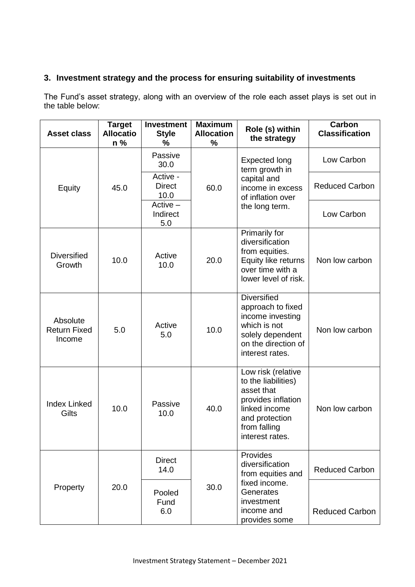# **3. Investment strategy and the process for ensuring suitability of investments**

The Fund's asset strategy, along with an overview of the role each asset plays is set out in the table below:

| <b>Asset class</b>                        | <b>Target</b><br><b>Allocatio</b><br>$n\%$ | <b>Investment</b><br><b>Style</b><br>% | <b>Maximum</b><br><b>Allocation</b><br>% | Role (s) within<br>the strategy                                                                                                                     | Carbon<br><b>Classification</b> |
|-------------------------------------------|--------------------------------------------|----------------------------------------|------------------------------------------|-----------------------------------------------------------------------------------------------------------------------------------------------------|---------------------------------|
|                                           | 45.0                                       | Passive<br>30.0                        |                                          | <b>Expected long</b><br>term growth in                                                                                                              | Low Carbon                      |
| Equity                                    |                                            | Active -<br><b>Direct</b><br>10.0      | 60.0                                     | capital and<br>income in excess<br>of inflation over                                                                                                | <b>Reduced Carbon</b>           |
|                                           |                                            | $Active -$<br>Indirect<br>5.0          |                                          | the long term.                                                                                                                                      | Low Carbon                      |
| <b>Diversified</b><br>Growth              | 10.0                                       | Active<br>10.0                         | 20.0                                     | Primarily for<br>diversification<br>from equities.<br>Equity like returns<br>over time with a<br>lower level of risk.                               | Non low carbon                  |
| Absolute<br><b>Return Fixed</b><br>Income | 5.0                                        | Active<br>5.0                          | 10.0                                     | <b>Diversified</b><br>approach to fixed<br>income investing<br>which is not<br>solely dependent<br>on the direction of<br>interest rates.           | Non low carbon                  |
| <b>Index Linked</b><br>Gilts              | 10.0                                       | Passive<br>10.0                        | 40.0                                     | Low risk (relative<br>to the liabilities)<br>asset that<br>provides inflation<br>linked income<br>and protection<br>from falling<br>interest rates. | Non low carbon                  |
|                                           |                                            | <b>Direct</b><br>14.0                  | 30.0                                     | Provides<br>diversification<br>from equities and                                                                                                    | <b>Reduced Carbon</b>           |
| Property                                  | 20.0                                       | Pooled<br>Fund<br>6.0                  |                                          | fixed income.<br>Generates<br>investment<br>income and<br>provides some                                                                             | <b>Reduced Carbon</b>           |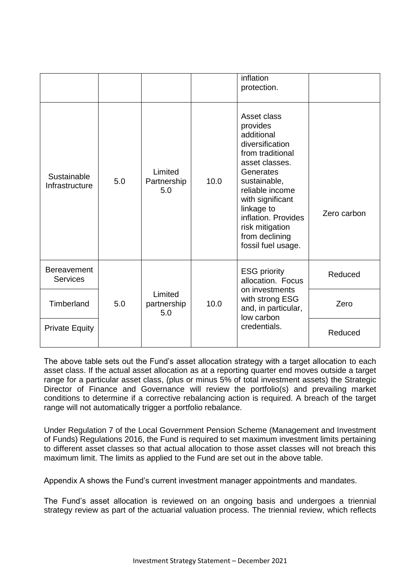|                                       |     |                               |      | inflation<br>protection.                                                                                                                                                                                                                                           |             |
|---------------------------------------|-----|-------------------------------|------|--------------------------------------------------------------------------------------------------------------------------------------------------------------------------------------------------------------------------------------------------------------------|-------------|
| Sustainable<br>Infrastructure         | 5.0 | Limited<br>Partnership<br>5.0 | 10.0 | Asset class<br>provides<br>additional<br>diversification<br>from traditional<br>asset classes.<br>Generates<br>sustainable,<br>reliable income<br>with significant<br>linkage to<br>inflation. Provides<br>risk mitigation<br>from declining<br>fossil fuel usage. | Zero carbon |
| <b>Bereavement</b><br><b>Services</b> |     |                               |      | <b>ESG priority</b><br>allocation. Focus                                                                                                                                                                                                                           | Reduced     |
| Timberland                            | 5.0 | Limited<br>partnership<br>5.0 | 10.0 | on investments<br>with strong ESG<br>and, in particular,<br>low carbon                                                                                                                                                                                             | Zero        |
| <b>Private Equity</b>                 |     |                               |      | credentials.                                                                                                                                                                                                                                                       | Reduced     |

The above table sets out the Fund's asset allocation strategy with a target allocation to each asset class. If the actual asset allocation as at a reporting quarter end moves outside a target range for a particular asset class, (plus or minus 5% of total investment assets) the Strategic Director of Finance and Governance will review the portfolio(s) and prevailing market conditions to determine if a corrective rebalancing action is required. A breach of the target range will not automatically trigger a portfolio rebalance.

Under Regulation 7 of the Local Government Pension Scheme (Management and Investment of Funds) Regulations 2016, the Fund is required to set maximum investment limits pertaining to different asset classes so that actual allocation to those asset classes will not breach this maximum limit. The limits as applied to the Fund are set out in the above table.

Appendix A shows the Fund's current investment manager appointments and mandates.

The Fund's asset allocation is reviewed on an ongoing basis and undergoes a triennial strategy review as part of the actuarial valuation process. The triennial review, which reflects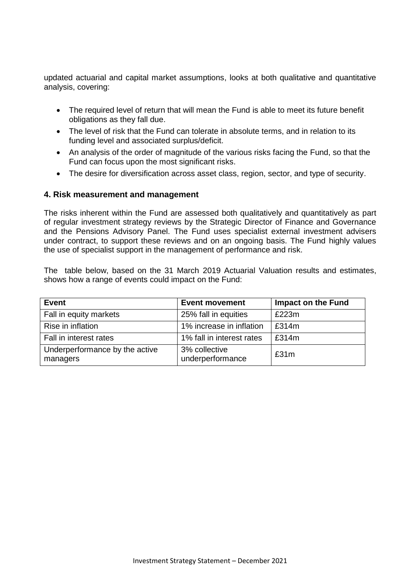updated actuarial and capital market assumptions, looks at both qualitative and quantitative analysis, covering:

- The required level of return that will mean the Fund is able to meet its future benefit obligations as they fall due.
- The level of risk that the Fund can tolerate in absolute terms, and in relation to its funding level and associated surplus/deficit.
- An analysis of the order of magnitude of the various risks facing the Fund, so that the Fund can focus upon the most significant risks.
- The desire for diversification across asset class, region, sector, and type of security.

### **4. Risk measurement and management**

The risks inherent within the Fund are assessed both qualitatively and quantitatively as part of regular investment strategy reviews by the Strategic Director of Finance and Governance and the Pensions Advisory Panel. The Fund uses specialist external investment advisers under contract, to support these reviews and on an ongoing basis. The Fund highly values the use of specialist support in the management of performance and risk.

The table below, based on the 31 March 2019 Actuarial Valuation results and estimates, shows how a range of events could impact on the Fund:

| <b>Event</b>                               | <b>Event movement</b>             | <b>Impact on the Fund</b> |
|--------------------------------------------|-----------------------------------|---------------------------|
| Fall in equity markets                     | 25% fall in equities              | £223m                     |
| Rise in inflation                          | 1% increase in inflation          | £314m                     |
| Fall in interest rates                     | 1% fall in interest rates         | £314m                     |
| Underperformance by the active<br>managers | 3% collective<br>underperformance | £31m                      |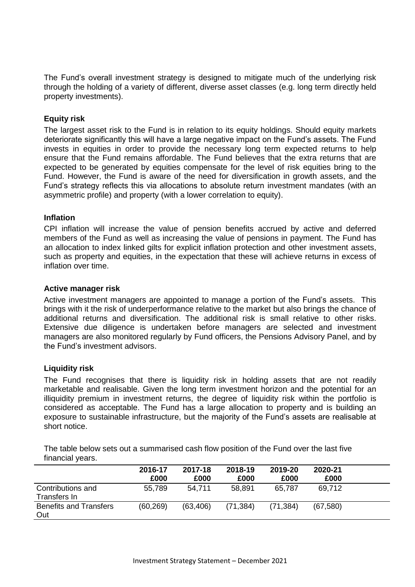The Fund's overall investment strategy is designed to mitigate much of the underlying risk through the holding of a variety of different, diverse asset classes (e.g. long term directly held property investments).

### **Equity risk**

The largest asset risk to the Fund is in relation to its equity holdings. Should equity markets deteriorate significantly this will have a large negative impact on the Fund's assets. The Fund invests in equities in order to provide the necessary long term expected returns to help ensure that the Fund remains affordable. The Fund believes that the extra returns that are expected to be generated by equities compensate for the level of risk equities bring to the Fund. However, the Fund is aware of the need for diversification in growth assets, and the Fund's strategy reflects this via allocations to absolute return investment mandates (with an asymmetric profile) and property (with a lower correlation to equity).

### **Inflation**

CPI inflation will increase the value of pension benefits accrued by active and deferred members of the Fund as well as increasing the value of pensions in payment. The Fund has an allocation to index linked gilts for explicit inflation protection and other investment assets, such as property and equities, in the expectation that these will achieve returns in excess of inflation over time.

#### **Active manager risk**

Active investment managers are appointed to manage a portion of the Fund's assets. This brings with it the risk of underperformance relative to the market but also brings the chance of additional returns and diversification. The additional risk is small relative to other risks. Extensive due diligence is undertaken before managers are selected and investment managers are also monitored regularly by Fund officers, the Pensions Advisory Panel, and by the Fund's investment advisors.

### **Liquidity risk**

The Fund recognises that there is liquidity risk in holding assets that are not readily marketable and realisable. Given the long term investment horizon and the potential for an illiquidity premium in investment returns, the degree of liquidity risk within the portfolio is considered as acceptable. The Fund has a large allocation to property and is building an exposure to sustainable infrastructure, but the majority of the Fund's assets are realisable at short notice.

The table below sets out a summarised cash flow position of the Fund over the last five financial years.

|                                      | 2016-17<br>£000 | 2017-18<br>£000 | 2018-19<br>£000 | 2019-20<br>£000 | 2020-21<br>£000 |  |
|--------------------------------------|-----------------|-----------------|-----------------|-----------------|-----------------|--|
| Contributions and<br>Transfers In    | 55,789          | 54.711          | 58,891          | 65,787          | 69,712          |  |
| <b>Benefits and Transfers</b><br>Out | (60, 269)       | (63, 406)       | (71, 384)       | (71, 384)       | (67, 580)       |  |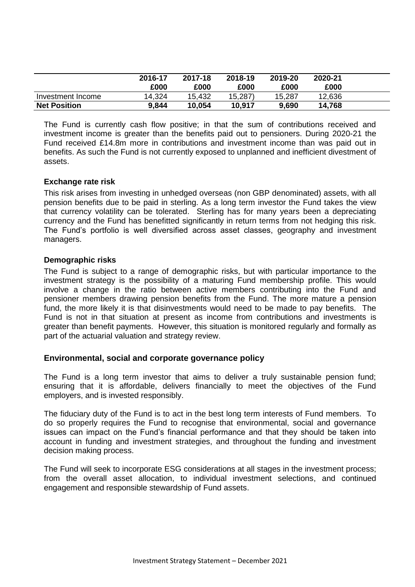|                     | 2016-17<br>£000 | 2017-18<br>£000 | 2018-19<br>£000 | 2019-20<br>£000 | 2020-21<br>£000 |  |
|---------------------|-----------------|-----------------|-----------------|-----------------|-----------------|--|
| Investment Income   | 14,324          | 15,432          | 15,287)         | 15,287          | 12,636          |  |
| <b>Net Position</b> | 9,844           | 10,054          | 10,917          | 9,690           | 14,768          |  |

The Fund is currently cash flow positive; in that the sum of contributions received and investment income is greater than the benefits paid out to pensioners. During 2020-21 the Fund received £14.8m more in contributions and investment income than was paid out in benefits. As such the Fund is not currently exposed to unplanned and inefficient divestment of assets.

### **Exchange rate risk**

This risk arises from investing in unhedged overseas (non GBP denominated) assets, with all pension benefits due to be paid in sterling. As a long term investor the Fund takes the view that currency volatility can be tolerated. Sterling has for many years been a depreciating currency and the Fund has benefitted significantly in return terms from not hedging this risk. The Fund's portfolio is well diversified across asset classes, geography and investment managers.

### **Demographic risks**

The Fund is subject to a range of demographic risks, but with particular importance to the investment strategy is the possibility of a maturing Fund membership profile. This would involve a change in the ratio between active members contributing into the Fund and pensioner members drawing pension benefits from the Fund. The more mature a pension fund, the more likely it is that disinvestments would need to be made to pay benefits. The Fund is not in that situation at present as income from contributions and investments is greater than benefit payments. However, this situation is monitored regularly and formally as part of the actuarial valuation and strategy review.

## **Environmental, social and corporate governance policy**

The Fund is a long term investor that aims to deliver a truly sustainable pension fund; ensuring that it is affordable, delivers financially to meet the objectives of the Fund employers, and is invested responsibly.

The fiduciary duty of the Fund is to act in the best long term interests of Fund members. To do so properly requires the Fund to recognise that environmental, social and governance issues can impact on the Fund's financial performance and that they should be taken into account in funding and investment strategies, and throughout the funding and investment decision making process.

The Fund will seek to incorporate ESG considerations at all stages in the investment process; from the overall asset allocation, to individual investment selections, and continued engagement and responsible stewardship of Fund assets.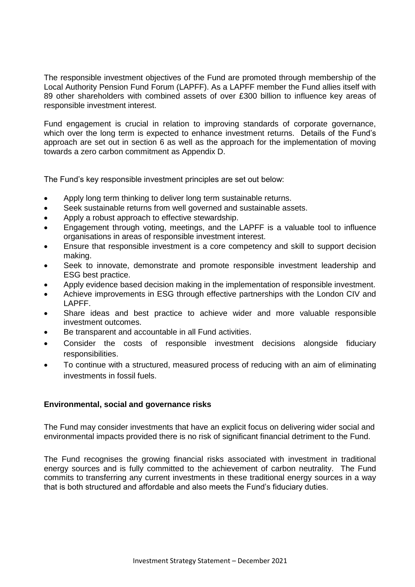The responsible investment objectives of the Fund are promoted through membership of the Local Authority Pension Fund Forum (LAPFF). As a LAPFF member the Fund allies itself with 89 other shareholders with combined assets of over £300 billion to influence key areas of responsible investment interest.

Fund engagement is crucial in relation to improving standards of corporate governance, which over the long term is expected to enhance investment returns. Details of the Fund's approach are set out in section 6 as well as the approach for the implementation of moving towards a zero carbon commitment as Appendix D.

The Fund's key responsible investment principles are set out below:

- Apply long term thinking to deliver long term sustainable returns.
- Seek sustainable returns from well governed and sustainable assets.
- Apply a robust approach to effective stewardship.
- Engagement through voting, meetings, and the LAPFF is a valuable tool to influence organisations in areas of responsible investment interest.
- Ensure that responsible investment is a core competency and skill to support decision making.
- Seek to innovate, demonstrate and promote responsible investment leadership and ESG best practice.
- Apply evidence based decision making in the implementation of responsible investment.
- Achieve improvements in ESG through effective partnerships with the London CIV and LAPFF.
- Share ideas and best practice to achieve wider and more valuable responsible investment outcomes.
- Be transparent and accountable in all Fund activities.
- Consider the costs of responsible investment decisions alongside fiduciary responsibilities.
- To continue with a structured, measured process of reducing with an aim of eliminating investments in fossil fuels.

### **Environmental, social and governance risks**

The Fund may consider investments that have an explicit focus on delivering wider social and environmental impacts provided there is no risk of significant financial detriment to the Fund.

The Fund recognises the growing financial risks associated with investment in traditional energy sources and is fully committed to the achievement of carbon neutrality. The Fund commits to transferring any current investments in these traditional energy sources in a way that is both structured and affordable and also meets the Fund's fiduciary duties.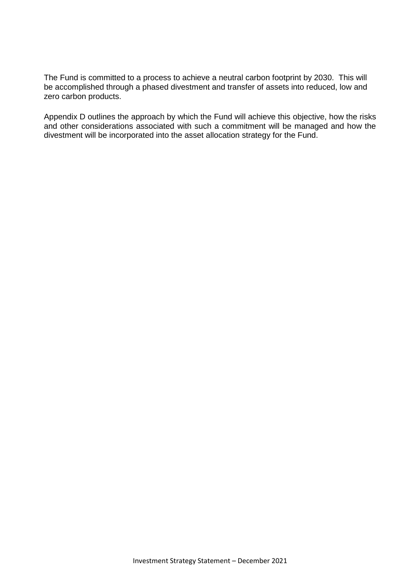The Fund is committed to a process to achieve a neutral carbon footprint by 2030. This will be accomplished through a phased divestment and transfer of assets into reduced, low and zero carbon products.

Appendix D outlines the approach by which the Fund will achieve this objective, how the risks and other considerations associated with such a commitment will be managed and how the divestment will be incorporated into the asset allocation strategy for the Fund.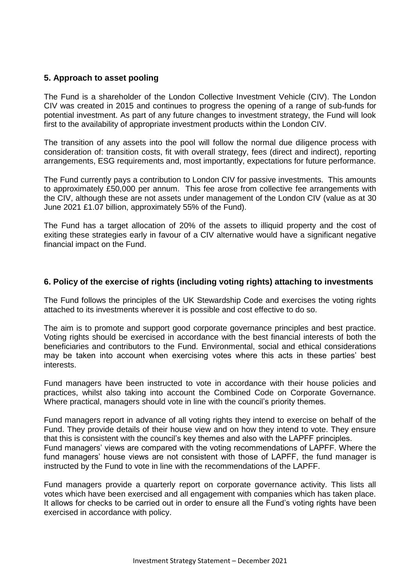# **5. Approach to asset pooling**

The Fund is a shareholder of the London Collective Investment Vehicle (CIV). The London CIV was created in 2015 and continues to progress the opening of a range of sub-funds for potential investment. As part of any future changes to investment strategy, the Fund will look first to the availability of appropriate investment products within the London CIV.

The transition of any assets into the pool will follow the normal due diligence process with consideration of: transition costs, fit with overall strategy, fees (direct and indirect), reporting arrangements, ESG requirements and, most importantly, expectations for future performance.

The Fund currently pays a contribution to London CIV for passive investments. This amounts to approximately £50,000 per annum. This fee arose from collective fee arrangements with the CIV, although these are not assets under management of the London CIV (value as at 30 June 2021 £1.07 billion, approximately 55% of the Fund).

The Fund has a target allocation of 20% of the assets to illiquid property and the cost of exiting these strategies early in favour of a CIV alternative would have a significant negative financial impact on the Fund.

### **6. Policy of the exercise of rights (including voting rights) attaching to investments**

The Fund follows the principles of the UK Stewardship Code and exercises the voting rights attached to its investments wherever it is possible and cost effective to do so.

The aim is to promote and support good corporate governance principles and best practice. Voting rights should be exercised in accordance with the best financial interests of both the beneficiaries and contributors to the Fund. Environmental, social and ethical considerations may be taken into account when exercising votes where this acts in these parties' best interests.

Fund managers have been instructed to vote in accordance with their house policies and practices, whilst also taking into account the Combined Code on Corporate Governance. Where practical, managers should vote in line with the council's priority themes.

Fund managers report in advance of all voting rights they intend to exercise on behalf of the Fund. They provide details of their house view and on how they intend to vote. They ensure that this is consistent with the council's key themes and also with the LAPFF principles. Fund managers' views are compared with the voting recommendations of LAPFF. Where the fund managers' house views are not consistent with those of LAPFF, the fund manager is instructed by the Fund to vote in line with the recommendations of the LAPFF.

Fund managers provide a quarterly report on corporate governance activity. This lists all votes which have been exercised and all engagement with companies which has taken place. It allows for checks to be carried out in order to ensure all the Fund's voting rights have been exercised in accordance with policy.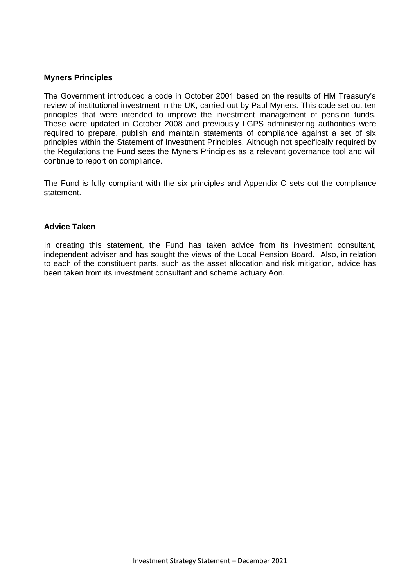### **Myners Principles**

The Government introduced a code in October 2001 based on the results of HM Treasury's review of institutional investment in the UK, carried out by Paul Myners. This code set out ten principles that were intended to improve the investment management of pension funds. These were updated in October 2008 and previously LGPS administering authorities were required to prepare, publish and maintain statements of compliance against a set of six principles within the Statement of Investment Principles. Although not specifically required by the Regulations the Fund sees the Myners Principles as a relevant governance tool and will continue to report on compliance.

The Fund is fully compliant with the six principles and Appendix C sets out the compliance statement.

#### **Advice Taken**

In creating this statement, the Fund has taken advice from its investment consultant, independent adviser and has sought the views of the Local Pension Board. Also, in relation to each of the constituent parts, such as the asset allocation and risk mitigation, advice has been taken from its investment consultant and scheme actuary Aon.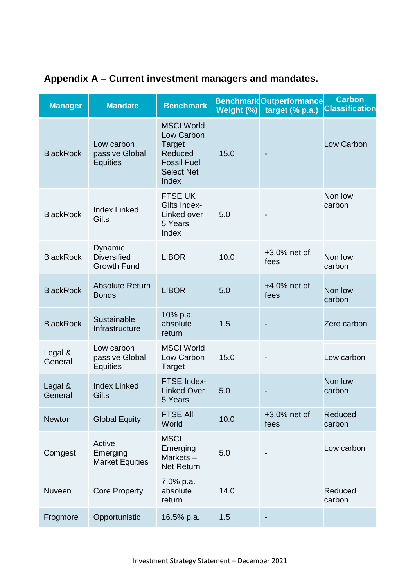| <b>Manager</b>     | <b>Mandate</b>                                      | <b>Benchmark</b>                                                                                         | Weight (%) | <b>Benchmark</b> Outperformance<br>target (% p.a.) | <b>Carbon</b><br><b>Classification</b> |
|--------------------|-----------------------------------------------------|----------------------------------------------------------------------------------------------------------|------------|----------------------------------------------------|----------------------------------------|
| <b>BlackRock</b>   | Low carbon<br>passive Global<br><b>Equities</b>     | <b>MSCI World</b><br>Low Carbon<br>Target<br>Reduced<br><b>Fossil Fuel</b><br><b>Select Net</b><br>Index | 15.0       |                                                    | Low Carbon                             |
| <b>BlackRock</b>   | <b>Index Linked</b><br>Gilts                        | <b>FTSE UK</b><br>Gilts Index-<br>Linked over<br>5 Years<br>Index                                        | 5.0        |                                                    | Non low<br>carbon                      |
| <b>BlackRock</b>   | Dynamic<br><b>Diversified</b><br><b>Growth Fund</b> | <b>LIBOR</b>                                                                                             | 10.0       | +3.0% net of<br>fees                               | Non low<br>carbon                      |
| <b>BlackRock</b>   | <b>Absolute Return</b><br><b>Bonds</b>              | <b>LIBOR</b>                                                                                             | 5.0        | $+4.0\%$ net of<br>fees                            | Non low<br>carbon                      |
| <b>BlackRock</b>   | Sustainable<br>Infrastructure                       | 10% p.a.<br>absolute<br>return                                                                           | 1.5        |                                                    | Zero carbon                            |
| Legal &<br>General | Low carbon<br>passive Global<br><b>Equities</b>     | <b>MSCI World</b><br>Low Carbon<br>Target                                                                | 15.0       |                                                    | Low carbon                             |
| Legal &<br>General | <b>Index Linked</b><br>Gilts                        | <b>FTSE Index-</b><br><b>Linked Over</b><br>5 Years                                                      | 5.0        |                                                    | Non low<br>carbon                      |
| <b>Newton</b>      | <b>Global Equity</b>                                | <b>FTSE All</b><br>World                                                                                 | 10.0       | $+3.0\%$ net of<br>fees                            | Reduced<br>carbon                      |
| Comgest            | Active<br>Emerging<br><b>Market Equities</b>        | <b>MSCI</b><br>Emerging<br>Markets-<br><b>Net Return</b>                                                 | 5.0        |                                                    | Low carbon                             |
| Nuveen             | <b>Core Property</b>                                | 7.0% p.a.<br>absolute<br>return                                                                          | 14.0       |                                                    | Reduced<br>carbon                      |
| Frogmore           | Opportunistic                                       | 16.5% p.a.                                                                                               | 1.5        |                                                    |                                        |

# **Appendix A – Current investment managers and mandates.**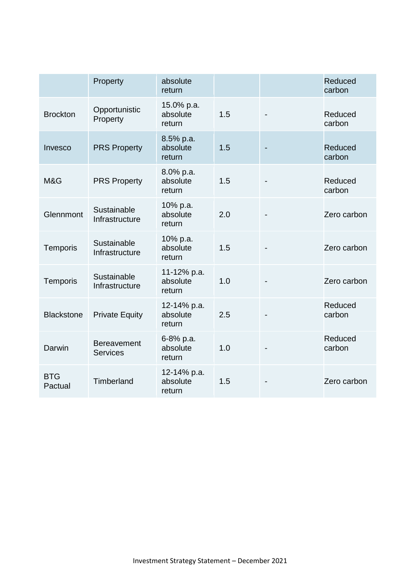|                       | Property                              | absolute<br>return                |     | Reduced<br>carbon |
|-----------------------|---------------------------------------|-----------------------------------|-----|-------------------|
| <b>Brockton</b>       | Opportunistic<br>Property             | 15.0% p.a.<br>absolute<br>return  | 1.5 | Reduced<br>carbon |
| Invesco               | <b>PRS Property</b>                   | 8.5% p.a.<br>absolute<br>return   | 1.5 | Reduced<br>carbon |
| M&G                   | <b>PRS Property</b>                   | 8.0% p.a.<br>absolute<br>return   | 1.5 | Reduced<br>carbon |
| Glennmont             | Sustainable<br>Infrastructure         | 10% p.a.<br>absolute<br>return    | 2.0 | Zero carbon       |
| Temporis              | Sustainable<br>Infrastructure         | 10% p.a.<br>absolute<br>return    | 1.5 | Zero carbon       |
| Temporis              | Sustainable<br>Infrastructure         | 11-12% p.a.<br>absolute<br>return | 1.0 | Zero carbon       |
| <b>Blackstone</b>     | <b>Private Equity</b>                 | 12-14% p.a.<br>absolute<br>return | 2.5 | Reduced<br>carbon |
| Darwin                | <b>Bereavement</b><br><b>Services</b> | 6-8% p.a.<br>absolute<br>return   | 1.0 | Reduced<br>carbon |
| <b>BTG</b><br>Pactual | Timberland                            | 12-14% p.a.<br>absolute<br>return | 1.5 | Zero carbon       |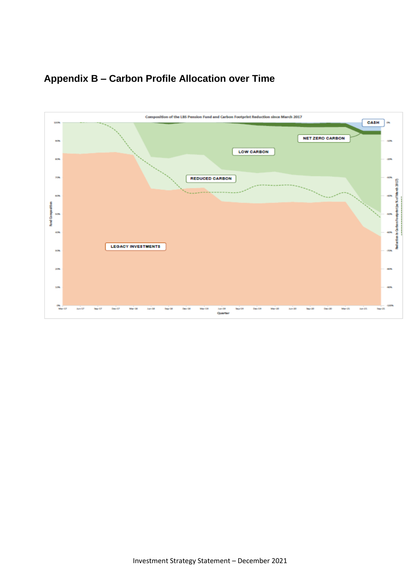

# **Appendix B – Carbon Profile Allocation over Time**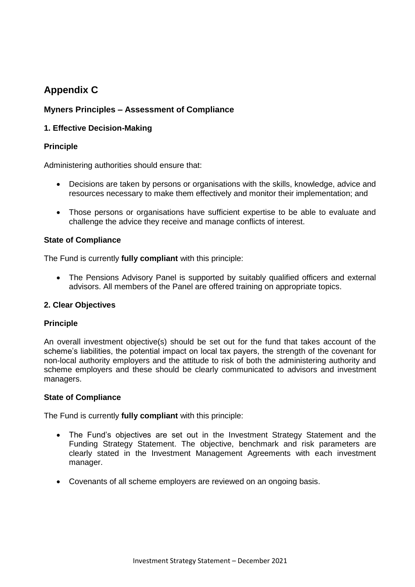# **Appendix C**

# **Myners Principles – Assessment of Compliance**

# **1. Effective Decision-Making**

### **Principle**

Administering authorities should ensure that:

- Decisions are taken by persons or organisations with the skills, knowledge, advice and resources necessary to make them effectively and monitor their implementation; and
- Those persons or organisations have sufficient expertise to be able to evaluate and challenge the advice they receive and manage conflicts of interest.

### **State of Compliance**

The Fund is currently **fully compliant** with this principle:

 The Pensions Advisory Panel is supported by suitably qualified officers and external advisors. All members of the Panel are offered training on appropriate topics.

## **2. Clear Objectives**

## **Principle**

An overall investment objective(s) should be set out for the fund that takes account of the scheme's liabilities, the potential impact on local tax payers, the strength of the covenant for non-local authority employers and the attitude to risk of both the administering authority and scheme employers and these should be clearly communicated to advisors and investment managers.

### **State of Compliance**

- The Fund's objectives are set out in the Investment Strategy Statement and the Funding Strategy Statement. The objective, benchmark and risk parameters are clearly stated in the Investment Management Agreements with each investment manager.
- Covenants of all scheme employers are reviewed on an ongoing basis.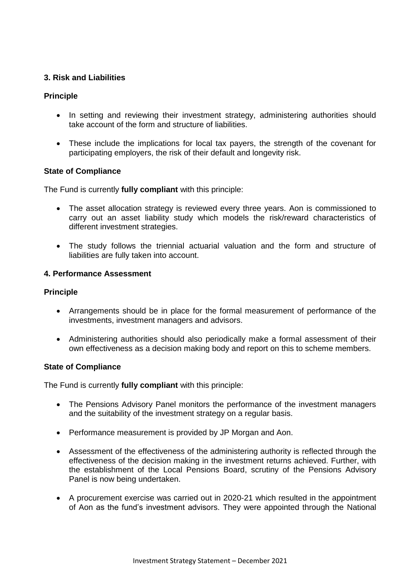### **3. Risk and Liabilities**

### **Principle**

- In setting and reviewing their investment strategy, administering authorities should take account of the form and structure of liabilities.
- These include the implications for local tax payers, the strength of the covenant for participating employers, the risk of their default and longevity risk.

### **State of Compliance**

The Fund is currently **fully compliant** with this principle:

- The asset allocation strategy is reviewed every three years. Aon is commissioned to carry out an asset liability study which models the risk/reward characteristics of different investment strategies.
- The study follows the triennial actuarial valuation and the form and structure of liabilities are fully taken into account.

### **4. Performance Assessment**

### **Principle**

- Arrangements should be in place for the formal measurement of performance of the investments, investment managers and advisors.
- Administering authorities should also periodically make a formal assessment of their own effectiveness as a decision making body and report on this to scheme members.

### **State of Compliance**

- The Pensions Advisory Panel monitors the performance of the investment managers and the suitability of the investment strategy on a regular basis.
- Performance measurement is provided by JP Morgan and Aon.
- Assessment of the effectiveness of the administering authority is reflected through the effectiveness of the decision making in the investment returns achieved. Further, with the establishment of the Local Pensions Board, scrutiny of the Pensions Advisory Panel is now being undertaken.
- A procurement exercise was carried out in 2020-21 which resulted in the appointment of Aon as the fund's investment advisors. They were appointed through the National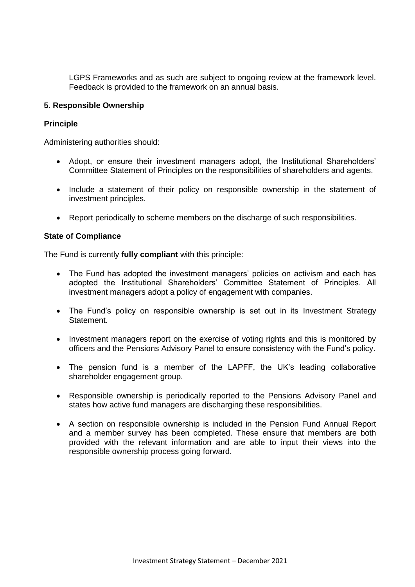LGPS Frameworks and as such are subject to ongoing review at the framework level. Feedback is provided to the framework on an annual basis.

### **5. Responsible Ownership**

### **Principle**

Administering authorities should:

- Adopt, or ensure their investment managers adopt, the Institutional Shareholders' Committee Statement of Principles on the responsibilities of shareholders and agents.
- Include a statement of their policy on responsible ownership in the statement of investment principles.
- Report periodically to scheme members on the discharge of such responsibilities.

### **State of Compliance**

- The Fund has adopted the investment managers' policies on activism and each has adopted the Institutional Shareholders' Committee Statement of Principles. All investment managers adopt a policy of engagement with companies.
- The Fund's policy on responsible ownership is set out in its Investment Strategy Statement.
- Investment managers report on the exercise of voting rights and this is monitored by officers and the Pensions Advisory Panel to ensure consistency with the Fund's policy.
- The pension fund is a member of the LAPFF, the UK's leading collaborative shareholder engagement group.
- Responsible ownership is periodically reported to the Pensions Advisory Panel and states how active fund managers are discharging these responsibilities.
- A section on responsible ownership is included in the Pension Fund Annual Report and a member survey has been completed. These ensure that members are both provided with the relevant information and are able to input their views into the responsible ownership process going forward.